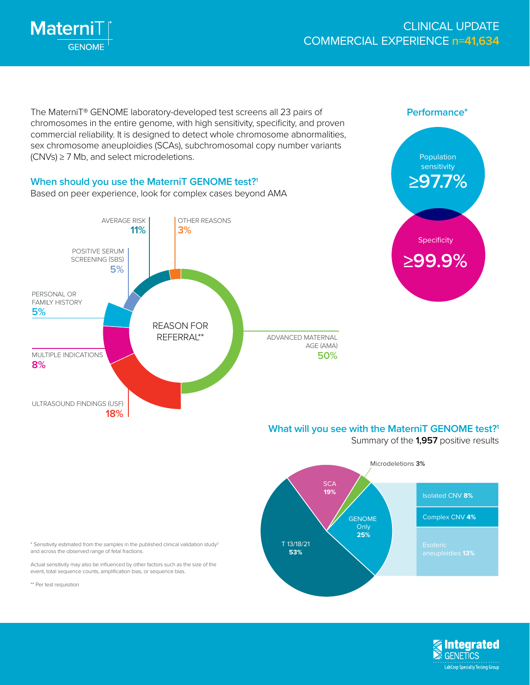

The MaterniT® GENOME laboratory-developed test screens all 23 pairs of chromosomes in the entire genome, with high sensitivity, specificity, and proven commercial reliability. It is designed to detect whole chromosome abnormalities, sex chromosome aneuploidies (SCAs), subchromosomal copy number variants (CNVs) ≥ 7 Mb, and select microdeletions.

### **When should you use the MaterniT GENOME test?1** Based on peer experience, look for complex cases beyond AMA

POSITIVE SERUM SCREENING (SBS) **5%** OTHER REASONS **3%** AVERAGE RISK **11%** ADVANCED MATERNAL AGE (AMA) MULTIPLE INDICATIONS **50% 8%** PERSONAL OR FAMILY HISTORY **5%** ULTRASOUND FINDINGS (USF) **18%** REASON FOR REFERRAL\*\*



## **What will you see with the MaterniT GENOME test?1**

Summary of the **1,957** positive results



\* Sensitivity estimated from the samples in the published clinical validation study2 and across the observed range of fetal fractions.

Actual sensitivity may also be influenced by other factors such as the size of the event, total sequence counts, amplification bias, or sequence bias.

\*\* Per test requisition